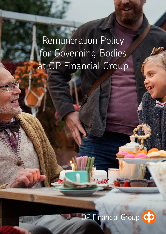Remuneration Policy for Governing Bodies at OP Financial Group

# OP Financial Group CO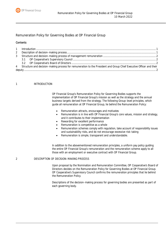## Remuneration Policy for Governing Bodies at OP Financial Group

## **Contents**

| $\overline{2}$ |                                                                                                                       |  |
|----------------|-----------------------------------------------------------------------------------------------------------------------|--|
|                |                                                                                                                       |  |
|                |                                                                                                                       |  |
|                |                                                                                                                       |  |
|                | 4 Structure and decision-making process for remuneration to the President and Group Chief Executive Officer and their |  |
|                |                                                                                                                       |  |

## <span id="page-1-0"></span>1 INTRODUCTION

OP Financial Group's Remuneration Policy for Governing Bodies supports the implementation of OP Financial Group's mission as well as the strategy and the annual business targets derived from the strategy. The following Group-level principles, which guide all remuneration at OP Financial Group, lie behind the Remuneration Policy:

- Remuneration attracts, encourages and motivates
- Remuneration is in line with OP Financial Group's core values, mission and strategy, and it contributes to their implementation
- Rewarding for excellent performance
- Remuneration is competitive as a whole
- Remuneration schemes comply with regulation, take account of responsibility issues and sustainability risks, and do not encourage excessive risk-taking
- Remuneration is simple, transparent and understandable.

In addition to the abovementioned remuneration principles, a uniform pay policy guiding the entire OP Financial Group's remuneration and the remuneration scheme apply to all those with an employment or executive contract with OP Financial Group.

## 2 DESCRIPTION OF DECISION-MAKING PROCESS

Upon proposal by the Nomination and Remuneration Committee, OP Cooperative's Board of Directors decides on the Remuneration Policy for Governing Bodies at OP Financial Group. OP Cooperative's Supervisory Council confirms the remuneration principles that lie behind the Remuneration Policy.

Descriptions of the decision-making process for governing bodies are presented as part of each governing body.

<span id="page-1-1"></span>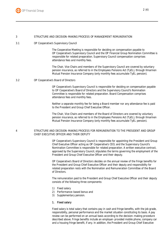

#### <span id="page-2-0"></span>3 STRUCTURE AND DECISION-MAKING PROCESS OF MANAGEMENT REMUNERATION

<span id="page-2-1"></span>3.1 OP Cooperative's Supervisory Council

The Cooperative Meeting is responsible for deciding on compensation payable to OP Cooperative's Supervisory Council and the OP Financial Group Nomination Committee is responsible for related preparation. Supervisory Council compensation comprises attendance fees and monthly fees.

The Chair, Vice Chairs and members of the Supervisory Council are covered by voluntary pension insurance, as referred to in the Employees Pensions Act (TyEL), through Ilmarinen Mutual Pension Insurance Company (only monthly fees accumulate TyEL pension).

#### <span id="page-2-2"></span>3.2 OP Cooperative's Board of Directors

OP Cooperative's Supervisory Council is responsible for deciding on compensation payable to OP Cooperative's Board of Directors and the Supervisory Council's Nomination Committee is responsible for related preparation. Board Compensation comprises attendance fees and monthly fees.

Neither a separate monthly fee for being a Board member nor any attendance fee is paid to the President and Group Chief Executive Officer.

The Chair, Vice Chairs and members of the Board of Directors are covered by voluntary pension insurance, as referred to in the Employees Pensions Act (TyEL), through Ilmarinen Mutual Pension Insurance Company (only monthly fees accumulate TyEL pension).

### <span id="page-2-3"></span>4 STRUCTURE AND DECISION-MAKING PROCESS FOR REMUNERATION TO THE PRESIDENT AND GROUP CHIEF EXECUTIVE OFFICER AND THEIR DEPUTY

OP Cooperative's Supervisory Council is responsible for appointing the President and Group Chief Executive Officer acting as OP Cooperative's CEO, and the Supervisory Council's Nomination Committee is responsible for related preparation. A written executive contract, approved by the Supervisory Council, stipulates the terms governing the employment of the President and Group Chief Executive Officer and their deputy.

OP Cooperative's Board of Directors decides on the annual review of the fringe benefits for the President and Group Chief Executive Officer and their deputy and responsibility for related preparation rests with the Nomination and Remuneration Committee of the Board of Directors.

The remuneration paid to the President and Group Chief Executive Officer and their deputy consists of the following three components:

- 1) Fixed salary
- 2) Performance-based bonus and
- 3) Supplementary pension.

#### 1. Fixed salary

Fixed salary is total salary that contains pay in cash and fringe benefits, with the job grade, responsibility, personal performance and the market situation constituting its basis. A pay review can be performed on an annual basis according to the decision-making procedure described above. Fringe benefits include an employer-provided mobile phone, company car and a housing fringe benefit, if any. In addition, the President and Group Chief Executive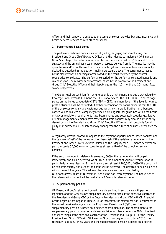Officer and their deputy are entitled to the same employer-provided banking, insurance and health services benefits as with other personnel.

## 2. Performance-based bonus

The performance-based bonus is aimed at guiding, engaging and incentivising the President and Group Chief Executive Officer and their deputy to implement OP Financial Group's strategy. The performance-based bonus metrics are tied to OP Financial Group's strategy and the annual business or personal targets derived from it. The metrics may be quantitative and/or qualitative. Their minimum, target and maximum levels are annually decided as described in the decision-making procedure above. The performance-based bonus also involves an earnings factor based on the result recorded by the central cooperative consolidated. The performance period for the performance-based bonus is one calendar year. The maximum performance-based bonus payable to the President and Group Chief Executive Office and their deputy equals their 12-month and 10-month fixed salary, respectively.

The Group-level precondition for remuneration is that OP Financial Group's LCR (Liquidity Coverage Ratio) exceeds 110% and the CET1 ratio exceeds the CET1 MDA + 2 percentage points on the bonus payout date (CET1 MDA = CET1 minimum level. If this level is not met, profit distribution will be restricted). Another precondition for bonus payout is that the EBT of the employer company and customer business shows a profit. Furthermore, bonuses earned will be reduced or completely refused if binding internal guidelines within the Group or task or regulatory requirements have been ignored and separately specified qualitative or risk management elements have materialised. Paid bonuses may also be fully or partly clawed back if the President and Group Chief Executive Officer or their deputy is found guilty of misdemeanours, or intentionally endangered the future of business, or violated the law.

A regulatory deferral procedure applies to the payment of performance-based bonuses and the payment of half of the bonus in other than cash, if the variable remuneration of the President and Group Chief Executive Officer and their deputy for a 12-month performance period exceeds 50,000 euros or constitutes at least a third of the combined annual bonuses.

If the euro maximum for deferral is exceeded, 60% of the remuneration will be paid immediately and 40% is deferred. As of 2022, if the amount of variable remuneration is particularly large (at least an 8-month salary and at least €200,000), 40% of the bonus will be paid immediately and 60% of the bonus will be deferred. The deferred bonus will be paid within the next five years. The value of the reference instrument decided by OP Cooperative's Board of Directors is used as the non-cash payment. The bonus tied to the reference instrument will be paid after a 12-month retention period.

## 3. Supplementary pension

OP Financial Group's retirement benefits are determined in accordance with pension legislation and the Group's own supplementary pension plans. If the executive contract of the President and Group CEO or the Deputy President and Group CEO with OP Financial Group begins or has begun in June 2018 or thereafter, the retirement age is equivalent to the lowest pensionable age under the Employees Pensions Act (TyEL) and the supplementary pension is based on a defined contribution plan. The contribution to the supplementary pension based on a defined contribution plan amounts to 20% of the fixed annual earnings. If the executive contract of the President and Group CEO or the Deputy President and Group CEO with OP Financial Group has begun prior to June 2018, the retirement age is 63 or 65 years and the supplementary pension is based on a defined